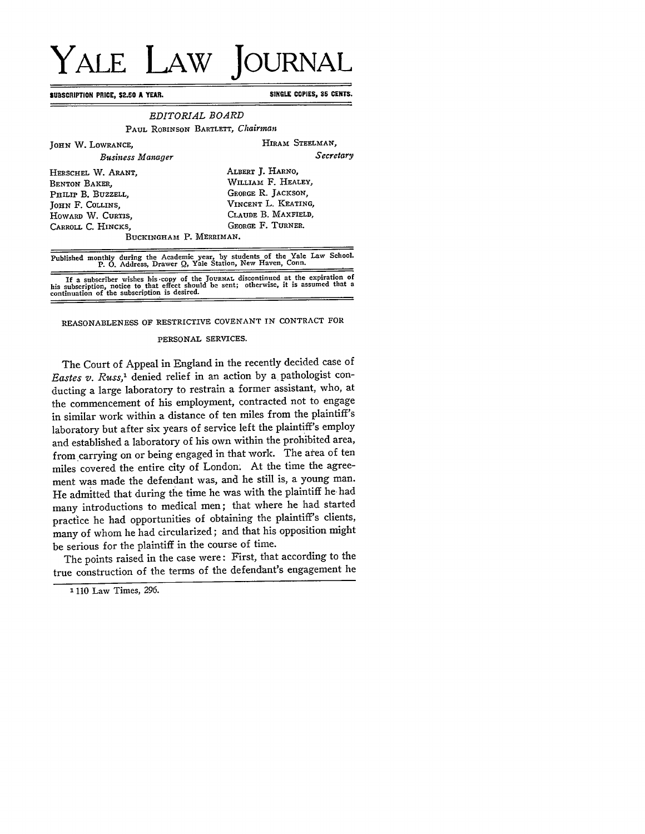# YALE LAw **JOURNAL**

**SUBSCRIPTION PRICE, \$2.50 A YEAR.** SINGLE COPIES, 35 CENTS.

# *EDITORIAL BOARD* **PAUL** ROBINSON BARTLETT, *Chairman*

| JOHN W. LOWRANCE,                                                                                                                       | HIRAM STEELMAN,     |
|-----------------------------------------------------------------------------------------------------------------------------------------|---------------------|
| Business Manager                                                                                                                        | Secretary           |
| HERSCHEL W. ARANT,                                                                                                                      | ALBERT J. HARNO,    |
| BENTON BAKER,                                                                                                                           | WILLIAM F. HEALEY,  |
| PHILIP B. BUZZELL.                                                                                                                      | GEORGE R. JACKSON.  |
| JOHN F. COLLINS,                                                                                                                        | VINCENT L. KEATING, |
| HOWARD W. CURTIS,                                                                                                                       | CLAUDE B. MAXFIELD, |
| CARROLL C. HINCKS,                                                                                                                      | GEORGE F. TURNER.   |
| BUCKINGHAM P. MERRIMAN.                                                                                                                 |                     |
| Published monthly during the Academic year, by students of the Yale Law School. P. O. Address, Drawer Q, Yale Station, New Haven, Conn. |                     |

If a subscriber wishes his copy of the JOURNAL discontinued at the expiration of his subscription, notice to that effect should be sent; otherwise, it is assumed that a continuation of the subscription is desired.

# REASONABLENESS OF RESTRICTIVE COVENANT **IN CONTRACT** FOR

#### PERSONAL SERVICES.

The Court of Appeal in England in the recently decided case of *Bastes v. Russ,'* denied relief in an action by a pathologist conducting a large laboratory to restrain a former assistant, who, at the commencement of his employment, contracted not to engage in similar work within a distance of ten miles from the plaintiff's laboratory but after six years of service left the plaintiff's employ and established a laboratory of his own within the prohibited area, from carrying on or being engaged in that work. The area of ten miles covered the entire city of London. At the time the agreement was made the defendant was, and he still is, a young man. He admitted that during the time he was with the plaintiff he had many introductions to medical men; that where he had started practice he had opportunities of obtaining the plaintiff's clients, many of whom he had circularized; and that his opposition might be serious for the plaintiff in the course of time.

The points raised in the case were: First, that according to the true construction of the terms of the defendant's engagement he

**<sup>1</sup>** 110 Law Times, **296.**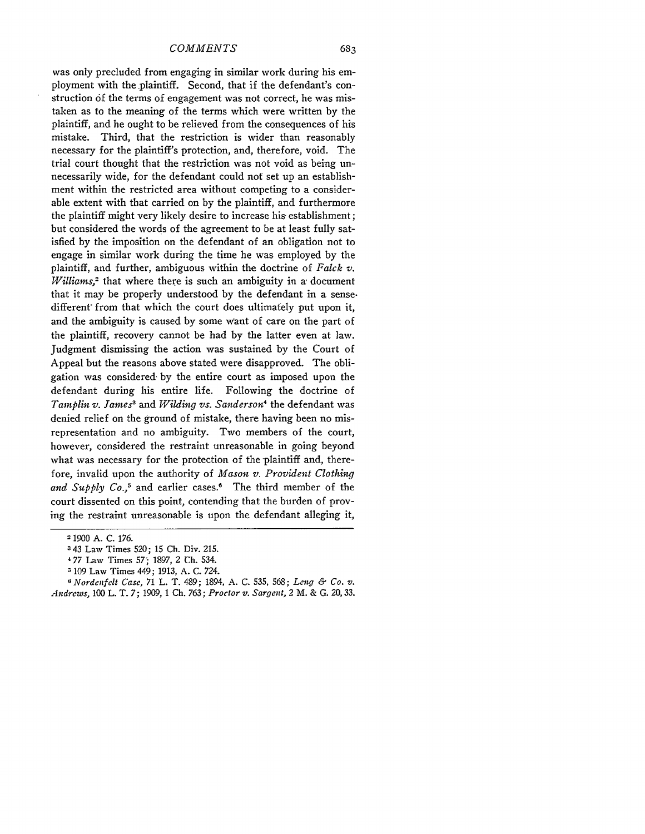was only precluded from engaging in similar work during his employment with the .plaintiff. Second, that if the defendant's construction **6f** the terms of engagement was not correct, he was mistaken as to the meaning of the terms which were written by the plaintiff, and he ought to be relieved from the consequences of his mistake. Third, that the restriction is wider than reasonably necessary for the plaintiff's protection, and, therefore, void. The trial court thought that the restriction was not void as being unnecessarily wide, for the defendant could not set up an establishment within the restricted area without competing to a considerable extent with that carried on by the plaintiff, and furthermore the plaintiff might very likely desire to increase his establishment; but considered the words of the agreement to be at least fully satisfied by the imposition on the defendant of an obligation not to engage in similar work during the time he was employed by the plaintiff, and further, ambiguous within the doctrine of *Falck v. Williams,2* that where there is such an ambiguity in a: document that it may be properly understood by the defendant in a sense. different from that which the court does ultimately put upon it, and the ambiguity is caused by some want of care on the part of the plaintiff, recovery cannot be had by the latter even at law. Judgment dismissing the action was sustained by the Court of Appeal but the reasons above stated were disapproved. The obligation was considered by the entire court as imposed upon the defendant during his entire life. Following the doctrine of *Tamplin v. James3 and Wilding vs. Sanderson4* the defendant was denied relief on the ground of mistake, there having been no misrepresentation and no ambiguity. Two members of the court, however, considered the restraint unreasonable in going beyond what was necessary for the protection of the plaintiff and, therefore, invalid upon the authority of *Mason v. Provident Clothing* and Supply Co.<sup>5</sup> and earlier cases.<sup>6</sup> The third member of the court dissented on this point, contending that the burden of proving the restraint unreasonable is upon the defendant alleging it,

**7,109** Law Times 449; 1913, A. C. 724.

**<sup>2</sup>** 1900 A. C. 176.

**<sup>343</sup>** Law Times 520; 15 **Ch.** Div. 215.

*<sup>4</sup> 77* Law Times 57; 1897, 2 **Ch.** 534.

*<sup>&</sup>quot;Nordenfelt Case,* 71 L. T. 489; 1894, A. C. 535, 568; *Leng & Co. v. Andrews, 100* L. T. 7; 1909, 1 **Ch.** 763; *Proctor v. Sargent,* 2 M. & G. 20,33.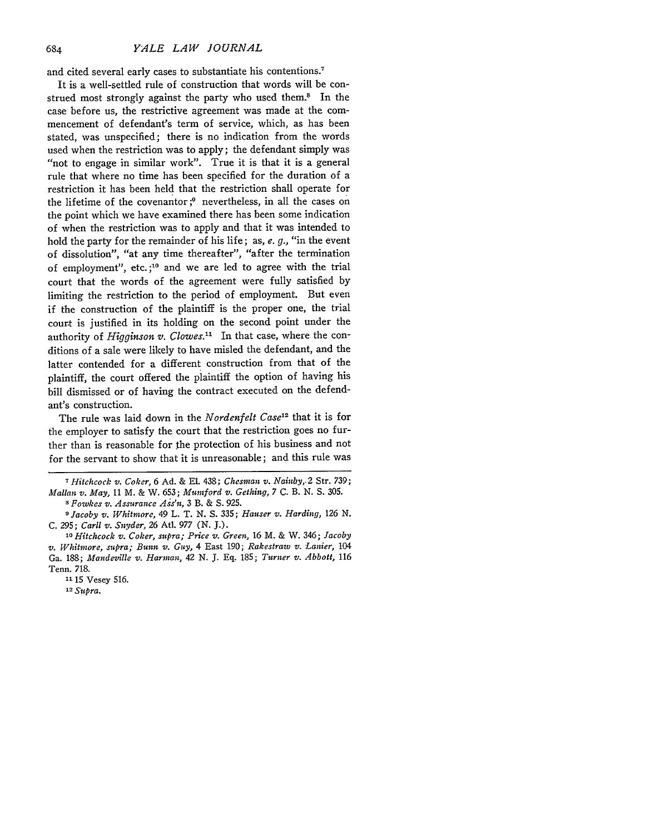and cited several early cases to substantiate his contentions.<sup>7</sup>

It is a well-settled rule of construction that words will be construed most strongly against the party who used them.<sup>8</sup> In the case before us, the restrictive agreement was made at the commencement of defendant's term of service, which, as has been stated, was unspecified; there is no indication from the words used when the restriction was to apply; the defendant simply was "not to engage in similar work". True it is that it is a general rule that where no time has been specified for the duration of a restriction it has been held that the restriction shall operate for the lifetime of the covenantor;<sup>0</sup> nevertheless, in all the cases on the point which we have examined there has been some indication of when the restriction was to apply and that it was intended to hold the party for the remainder of his life; as, *e. g.,* "in the event of dissolution", "at any time thereafter", "after the termination of employment", etc.;<sup>10</sup> and we are led to agree with the trial court that the words of the agreement were fully satisfied by limiting the restriction to the period of employment. But even if the construction of the plaintiff is the proper one, the trial court is justified in its holding on the second point under the authority of *Higginson v. Clowes."* In that case, where the conditions of a sale were likely to have misled the defendant, and the latter contended for a different construction from that of the plaintiff, the court offered the plaintiff the option of having his bill dismissed or of having the contract executed on the defendant's construction.

The rule was laid down in the *Nordenfelt Case12* that it is for the employer to satisfy the court that the restriction goes no further than is reasonable for the protection of his business and not for the servant to show that it is unreasonable; and this rule was

*7Hitchcock v. Coker,* 6 **Ad.** & **El.** 438; *Chesinan v. Nainby,.* 2 Str. 739; *Mallan v. May,* 11 M. & W. 653; *Mumford v. Gething, 7* C. B. N. S. 305. **s** *Fowkes v. Assurance Ais'n,* 3 B. & S. 925.

**0** *Jacoby v. Whitmore,* 49 L. T. N. S. 335; *Hauser v. Harding,* 126 *N.* C. 295; *Carl v. Snyder,* 26 AtI. 977 (N. *J.).*

**<sup>10</sup>***Hitchcock v. Coker, supra; Price v. Green,* 16 M. & W. 346; *Jacoby v. Whitmore, supra; Bunn v. Guty,* 4 East 190; *Rakestraw v. Lanier, 104* Ga. 188; *Mandeville v. Harman,* 42 N. J. **Eq.** 185; *Turner v. Abbott,* <sup>116</sup> Tenn. 718.

**111** 5 Vesey 516.

**12** *Supra.*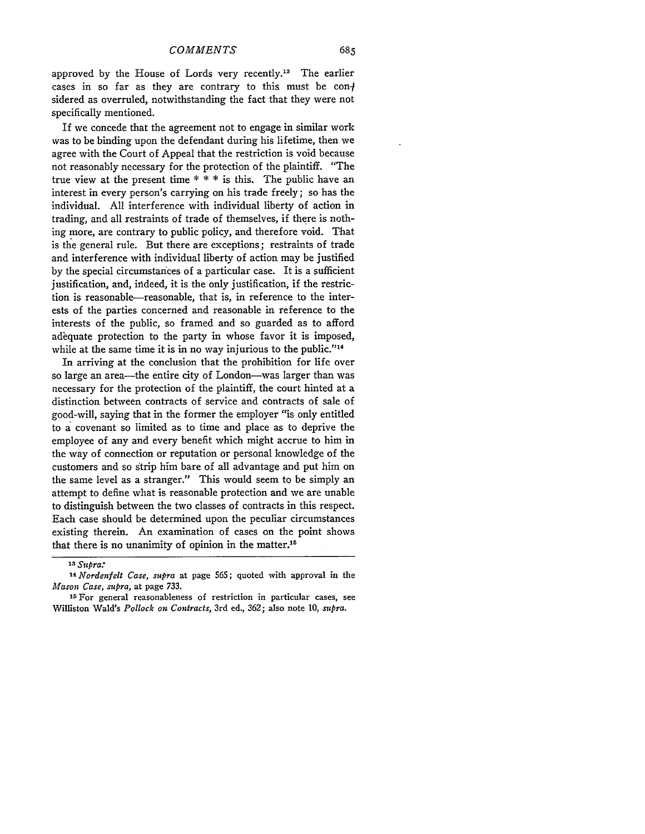approved by the House of Lords very recently.<sup>13</sup> The earlier cases in so far as they are contrary to this must be conj sidered as overruled, notwithstanding the fact that they were not specifically mentioned.

If we concede that the agreement not to engage in similar work was to be binding upon the defendant during his lifetime, then we agree with the Court of Appeal that the restriction is void because not reasonably necessary for the protection of the plaintiff. "The true view at the present time  $* * *$  is this. The public have an interest in every person's carrying on his trade freely; so has the individual. All interference with individual liberty of action in trading, and all restraints of trade of themselves, if there is nothing more, are contrary to public policy, and therefore void. That is the general rule. But there are exceptions; restraints of trade and interference with individual liberty of action may be justified by the special circumstances of a particular case. It is a sufficient justification, and, indeed, it is the only justification, if the restriction is reasonable-reasonable, that is, in reference to the interests of the parties concerned and reasonable in reference to the interests of the public, so framed and so guarded as to afford adequate protection to the party in whose favor it is imposed, while at the same time it is in no way injurious to the public."<sup>14</sup>

In arriving at the conclusion that the prohibition for life over so large an area—the entire city of London—was larger than was necessary for the protection of the plaintiff, the court hinted at a distinction between contracts of service and contracts of sale of good-will, saying that in the former the employer "is only entitled to a covenant so limited as to time and place as to deprive the employee of any and every benefit which might accrue to him in the way of connection or reputation or personal knowledge of the customers and so strip him bare of all advantage and put him on the same level as a stranger." This would seem to be simply an attempt to define what is reasonable protection and we are unable to distinguish between the two classes of contracts in this respect. Each case should be determined upon the peculiar circumstances existing therein. An examination of cases on the point shows that there is no unanimity of opinion in the matter."5

*<sup>1&</sup>quot;1 Supra:*

**<sup>&#</sup>x27;14** *Nordenfelt Case, supra* at page 565; quoted with approval in the *Mason Case, supra,* at page 733.

**<sup>15</sup>**For general reasonableness of restriction in particular cases, see Williston Wald's *Pollock on Contracts,* 3rd ed., 362; also note 10, *supra.*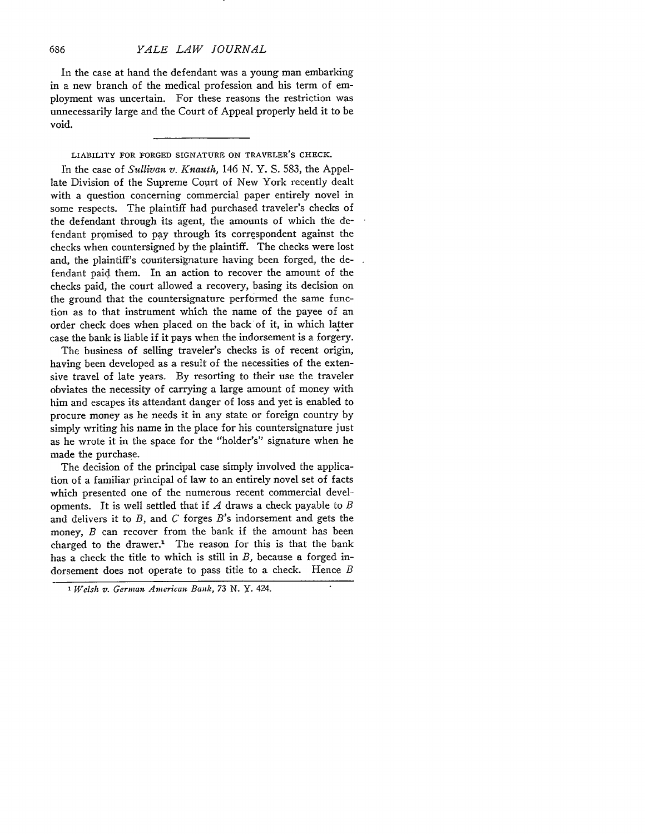In the case at hand the defendant was a young man embarking in a new branch of the medical profession and his term of employment was uncertain. For these reasons the restriction was unnecessarily large and the Court of Appeal properly held it to be void.

#### LIABILITY FOR FORGED SIGNATURE **ON** TRAVELER'S **CHECK.**

In the case of *Sullivan v. Knauth,* 146 N. Y. S. 583, the Appellate Division of the Supreme Court of New York recently dealt with a question concerning commercial paper entirely novel in some respects. The plaintiff had purchased traveler's checks of the defendant through its agent, the amounts of which the defendant promised to pay through its correspondent against the checks when countersigned by the plaintiff. The checks were lost and, the plaintiff's countersignature having been forged, the defendant paid them. In an action to recover the amount of the checks paid, the court allowed a recovery, basing its decision on the ground that the countersignature performed the same function as to that instrument which the name of the payee of an order check does when placed on the back-of it, in which latter case the bank is liable if it pays when the indorsement is a forgery.

The business of selling traveler's checks is of recent origin, having been developed as a result of the necessities of the extensive travel of late years. By resorting to their use the traveler obviates the necessity of carrying a large amount of money with him and escapes its attendant danger of loss and yet is enabled to procure money as he needs it in any state or foreign country by simply writing his name in the place for his countersignature just as he wrote it in the space for the "holder's" signature when he made the purchase.

The decision of the principal case simply involved the application of a familiar principal of law to an entirely novel set of facts which presented one of the numerous recent commercial developments. It is well settled that if *A* draws a check payable to *B* and delivers it to *B,* and *C* forges *B's* indorsement and gets the money, *B* can recover from the bank if the amount has been charged to the drawer.' The reason for this is that the bank has a check the title to which is still in *B,* because a forged indorsement does not operate to pass title to a check. Hence *B*

*Welsh v.* German American Bank, 73 **N. y.** 424.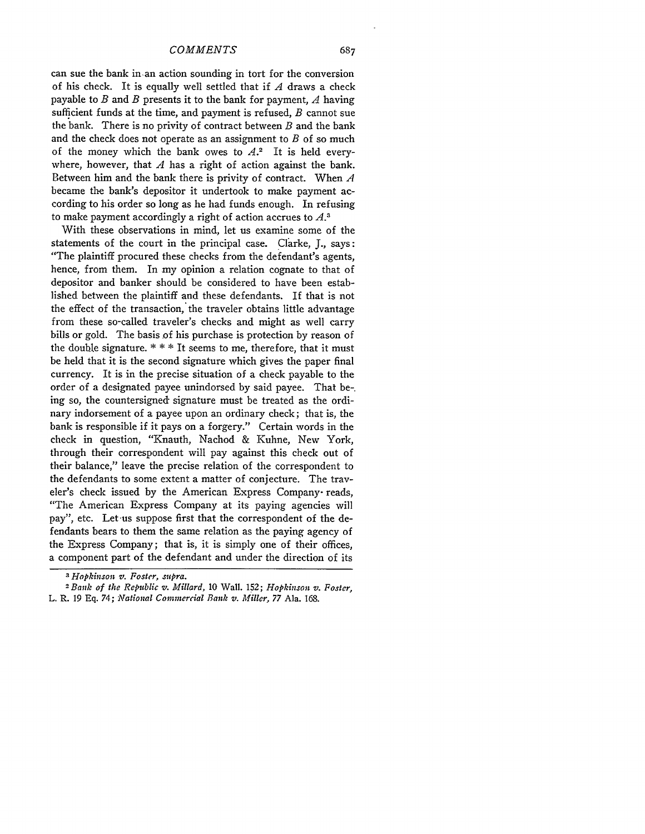can sue the bank in an action sounding in tort for the conversion of his check. It is equally well settled that if *A* draws a check payable to *B* and *B* presents it to the bank for payment, A having sufficient funds at the time, and payment is refused, *B* cannot sue the bank. There is no privity of contract between *B* and the bank and the check does not operate as an assignment to *B* of so much of the money which the bank owes to  $A<sup>2</sup>$ . It is held everywhere, however, that  $A$  has a right of action against the bank. Between him and the bank there is privity of contract. When *A* became the bank's depositor it undertook to make payment according to his order so long as he had funds enough. In refusing to make payment accordingly a right of action accrues to *A. <sup>3</sup>*

With these observations in mind, let us examine some of the statements of the court in the principal case. Clarke, J., says: "The plaintiff procured these checks from the defendant's agents, hence, from them. In my opinion a relation cognate to that of depositor and banker should be considered to have been established between the plaintiff and these defendants. If that is not the effect of the transaction, the traveler obtains little advantage from these so-called traveler's checks and might as well carry bills or gold. The basis of his purchase is protection by reason of the double signature.  $* * * It$  seems to me, therefore, that it must be held that it is the second signature which gives the paper final currency. It is in the precise situation of a check payable to the order of a designated payee unindorsed by said payee. That be-. ing so, the countersigned- signature must be treated as the ordinary indorsement of a payee upon an ordinary check; that is, the bank is responsible if it pays on a forgery." Certain words in the check in question, "Knauth, Nachod & Kuhne, New York, through their correspondent will pay against this check out of their balance," leave the precise relation of the correspondent to the defendants to some extent a matter of conjecture. The traveler's check issued by the American Express Company- reads, "The American Express Company at its paying agencies will pay", etc. Let-us suppose first that the correspondent of the defendants bears to them the same relation as the paying agency of the Express Company; that is, it is simply one of their offices, a component part of the defendant and under the direction of its

*<sup>3</sup> Hopkinson v. Foster, supra.*

*<sup>2</sup> Bank of the Republic zr. Millard,* 10 Wall. 152; *Hopkinson v. Foster,* L. R. **19 Eq.** 74; *"National Commercial Bank v. Miller, 77* Ala. **168.**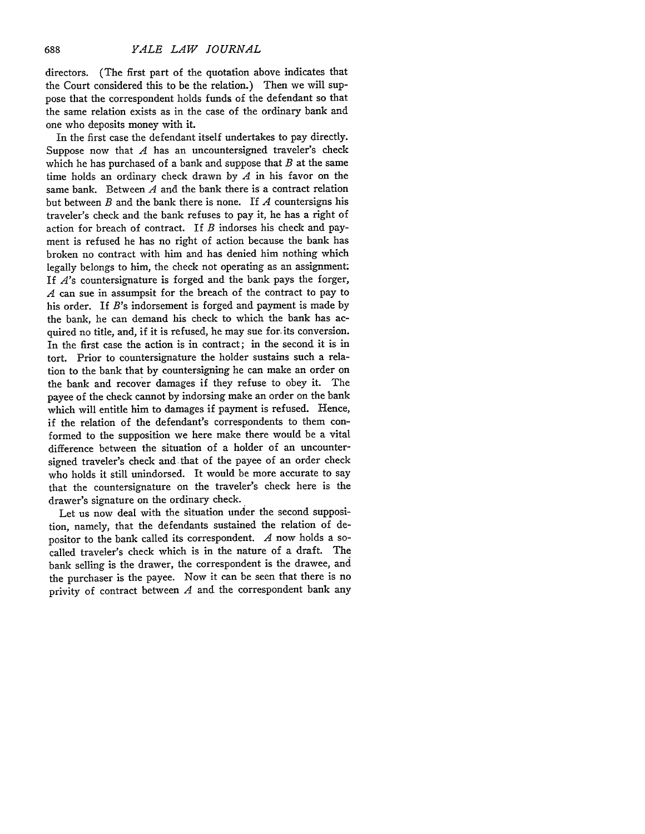directors. (The first part of the quotation above indicates that the Court considered this to be the relation.) Then we will suppose that the correspondent holds funds of the defendant so that the same relation exists as in the case of the ordinary bank and one who deposits money with it.

In the first case the defendant itself undertakes to pay directly. Suppose now that *A* has an uncountersigned traveler's check which he has purchased of a bank and suppose that *B* at the same time holds an ordinary check drawn by *A* in his favor on the same bank. Between *A* and the bank there is a contract relation but between *B* and the bank there is none. If *A* countersigns his traveler's check and the bank refuses to pay it, he has a right of action for breach of contract. If *B* indorses his check and payment is refused he has no right of action because the bank has broken no contract with him and has denied him nothing which legally belongs to him, the check not operating as an assignment: If  $A$ 's countersignature is forged and the bank pays the forger, *A* can sue in assumpsit for the breach of the contract to pay to his order. If *B's* indorsement is forged and payment is made by the bank, he can demand his check to which the bank has acquired no title, and, if it is refused, he may sue for. its conversion. In the first case the action is in contract; in the second it is in tort. Prior to countersignature the holder sustains such a relation to the bank that by countersigning he can make an order on the bank and recover damages if they refuse to obey it. The payee of the check cannot by indorsing make an order on the bank which will entitle him to damages if payment is refused. Hence, if the relation of the defendant's correspondents to them conformed to the supposition we here make there would be a vital difference between the situation of a holder of an uncountersigned traveler's check and that of the payee of an order check who holds it still unindorsed. It would be more accurate to say that the countersignature on the traveler's check here is the drawer's signature on the ordinary check.

Let us now deal with the situation under the second supposition, namely, that the defendants sustained the relation of depositor to the bank called its correspondent. *A* now holds a socalled traveler's check which is in the nature of a draft. The bank selling is the drawer, the correspondent is the drawee, and the purchaser is the payee. Now it can be seen that there is no privity of contract between *A* and the correspondent bank any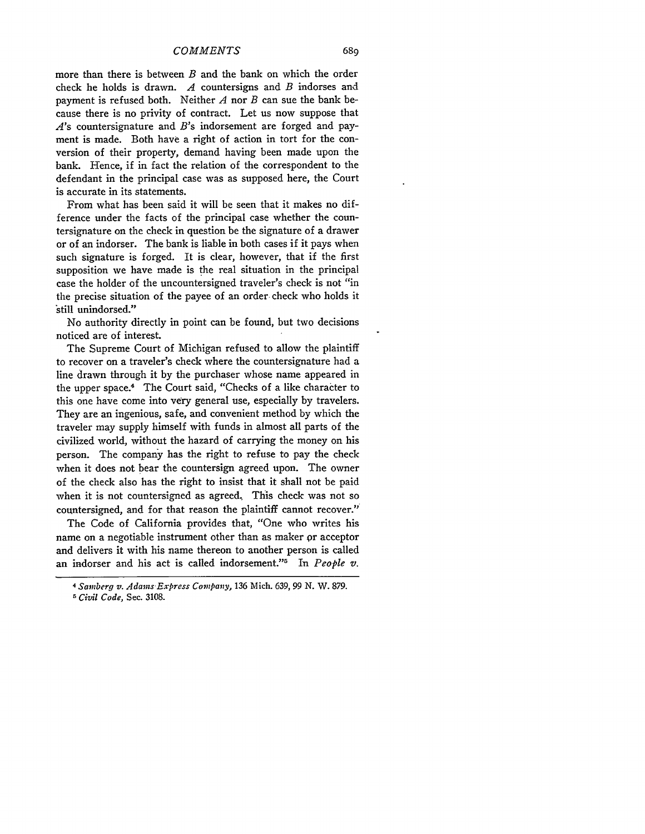more than there is between *B* and the bank on which the order check he holds is drawn. *A* countersigns and *B* indorses and payment is refused both. Neither *A* nor *B* can sue the bank because there is no privity of contract. Let us now suppose that A's countersignature and *B's* indorsement are forged and payment is made. Both have a right of action in tort for the conversion of their property, demand having been made upon the bank. Hence, if in fact the relation of the correspondent to the defendant in the principal case was as supposed here, the Court is accurate in its statements.

From what has been said it will be seen that it makes no difference under the facts of the principal case whether the countersignature on the check in question be the signature of a drawer or of an indorser. The bank is liable in both cases if it pays when such signature is forged. It is clear, however, that if the first supposition we have made is the real situation in the principal case the holder of the uncountersigned traveler's check is not "in the precise situation of the payee of an order check who holds it .still unindorsed."

No authority directly in point can be found, but two decisions noticed are of interest.

The Supreme Court of Michigan refused to allow the plaintiff to recover on a traveler's check where the countersignature had a line drawn through it by the purchaser whose name appeared in the upper space.4 The Court said, "Checks of a like character to this one have come into very general use, especially by travelers. They are an ingenious, safe, and convenient method by which the traveler may supply himself with funds in almost all parts of the civilized world, without the hazard of carrying the money on his person. The company has the right to refuse to pay the check when it does not bear the countersign agreed upon. The owner of the check also has the right to insist that it shall not be paid when it is not countersigned as agreed. This check was not so countersigned, and for that reason the plaintiff cannot recover."

The Code of California provides that, "One who writes his name on a negotiable instrument other than as maker pr acceptor and delivers it with his name thereon to another person is called an indorser and his act is called indorsement."5 In *People v.*

<sup>4</sup>*Samberg v. AdamsExpress Company,* 136 Mich. 639, 99 N. W. 879. *SCivil Code,* Sec. 3108.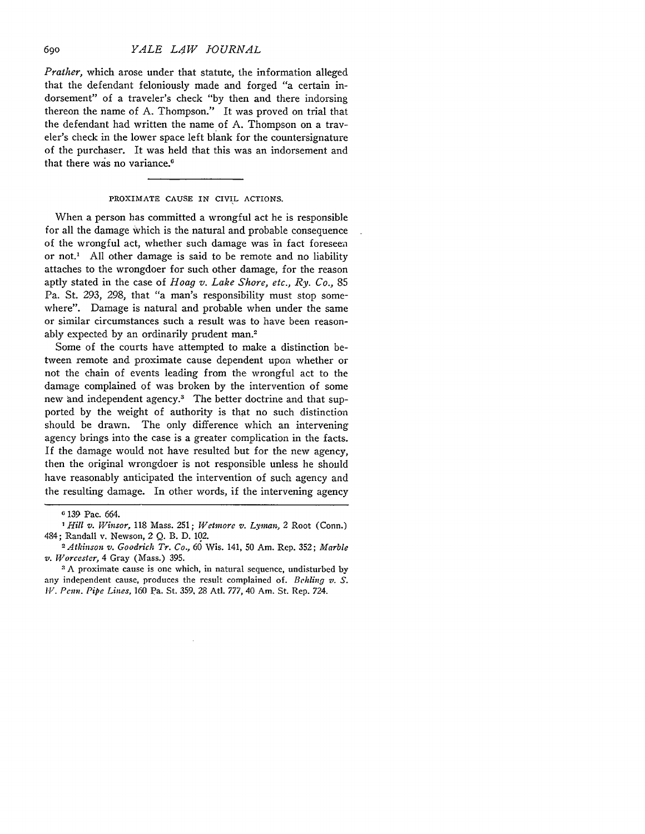*Prather,* which arose under that statute, the information alleged that the defendant feloniously made and forged "a certain indorsement" of a traveler's check "by then and there indorsing thereon the name of A. Thompson." It was proved on trial that the defendant had written the name of A. Thompson on a traveler's check in the lower space left blank for the countersignature of the purchaser. It was held that this was an indorsement and that there was no variance.<sup>6</sup>

### PROXIMATE **CAUSE** IN CIVIL ACTIONS.

When a person has committed a wrongful act he is responsible for all the damage Which is the natural and probable consequence of the wrongful act, whether such damage was in fact foreseen or not.' All other damage is said to be remote and no liability attaches to the wrongdoer for such other damage, for the reason aptly stated in the case of *Hoag v. Lake Shore, etc., Ry. Co.,* 85 Pa. St. 293, *298,* that "a man's responsibility must stop somewhere". Damage is natural and probable when under the same or similar circumstances such a result was to have been reasonably expected by an ordinarily prudent man.<sup>2</sup>

Some of the courts have attempted to make a distinction between remote and proximate cause dependent upon whether or not the chain of events leading from the wrongful act to the damage complained of was broken by the intervention of some new and independent agency.<sup>3</sup> The better doctrine and that supported by the weight of authority is that no such distinction should be drawn. The only difference which an intervening agency brings into the case is a greater complication in the facts. If the damage would not have resulted but for the new agency, then the original wrongdoer is not responsible unless he should have reasonably anticipated the intervention of such agency and the resulting damage. In other words, if the intervening agency

**<sup>6</sup>** 139 Pac. 664.

*<sup>1</sup>Hill v. Winsor,* 118 Mass. 251; *Wetmore v. Lyman,* 2 Root (Conn.) 484; Randall v. Newson, 2 Q. B. D. 102.

*<sup>2</sup>Atkinson v. Goodrich Tr. Co.,* 60 Wis. 141, 50 Am. Rep. 352; *Marble v. Worcester,* 4 Gray (Mass.) 395.

**<sup>3</sup> A** proximate cause is one which, in natural sequence, undisturbed by any independent cause, produces the result complained of. *Behling v. S. 11. Penn. Pipe Lines,* 160 Pa. St. 359, 28 Atl. *777,* 40 Am. St. Rep. 724.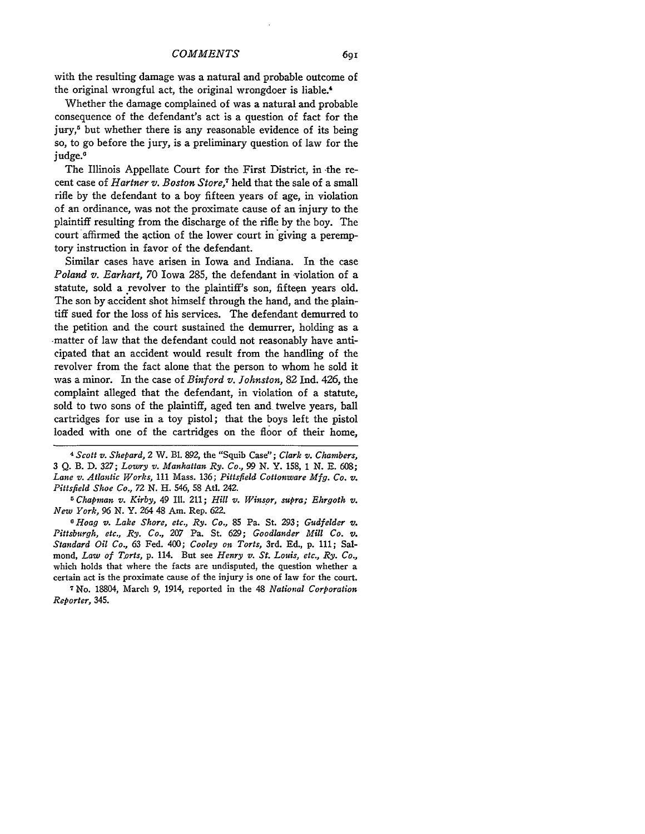with the resulting damage was a natural and probable outcome of the original wrongful act, the original wrongdoer is liable.<sup>4</sup>

Whether the damage complained of was a natural and probable consequence of the defendant's act is a question of fact for the jury,<sup>5</sup> but whether there is any reasonable evidence of its being so, to go before the jury, is a preliminary question of law for the judge.<sup>6</sup>

The Illinois Appellate Court for the First District, in the recent case of *Hartner v. Boston Store,7* held that the sale of a small rifle **by** the defendant to a boy fifteen years of age, in violation of an ordinance, was not the proximate cause of an injury to the plaintiff resulting from the discharge of the rifle by the boy. The court affirmed the action of the lower court in giving a peremptory instruction in favor of the defendant.

Similar cases have arisen in Iowa and Indiana. In the case *Poland v. Earhart, 70 Iowa 285, the defendant in violation of a* statute, sold a revolver to the plaintiff's son, fifteen years old. The son **by** accident shot himself through the hand, and the plaintiff sued for the loss of his services. The defendant demurred to the petition and the court sustained the demurrer, holding as a -matter of law that the defendant could not reasonably have anticipated that an accident would result from the handling of the revolver from the fact alone that the person to whom he sold it was a minor. In the case of *Binford v. Johnston,* 82 Ind. 426, the complaint alleged that the defendant, in violation of a statute, sold to two sons of the plaintiff, aged ten and twelve years, ball cartridges for use in a toy pistol; that the boys left the pistol loaded with one of the cartridges on the floor of their home,

*4 Scott v. Shepard,* 2 W. BI. 892, the "Squib Case"; *Clark v. Chambers,* 3 Q. B. D. 327; *Lowry v. Manhattan Ry. Co.,* 99 N. Y. 158, 1 N. E. 608; *Lane v. Atlantic Works,* 111 Mass. 136; *Pittsfield Cottonware Mfg. Co. v. Pittsfield Shoe Co., 72* N. H. 546, 58 Atl. 242.

*5 Chapman v. Kirby,* 49 Ill. 211; *Hill v. Winsor, supra; Ehrgoth v. New York, 96 N.* Y. 264 48 Am. Rep. 622.

*<sup>0</sup>Hoag v. Lake Shore, etc., Ry. Co.,* 85 Pa. St. 293; *Gudfelder v. Pittsburgh, etc., Ry. Co.,* 207 Pa. St. 629; *Goodlander Mill Co. v. Standard Oil Co.,* 63 Fed. 400; *Cooley on Torts,* 3rd. Ed., p. 111; Salmond, *Law of Torts,* p. 114. But see *Henry v. St. Louis, etc., Ry. Co.,* which holds that where the facts are undisputed, the question whether a certain act is the proximate cause of the injury is one of law for the court.

**7** No. 18804, March 9, 1914, reported in the 48 *National Corporation Reporter,* 345.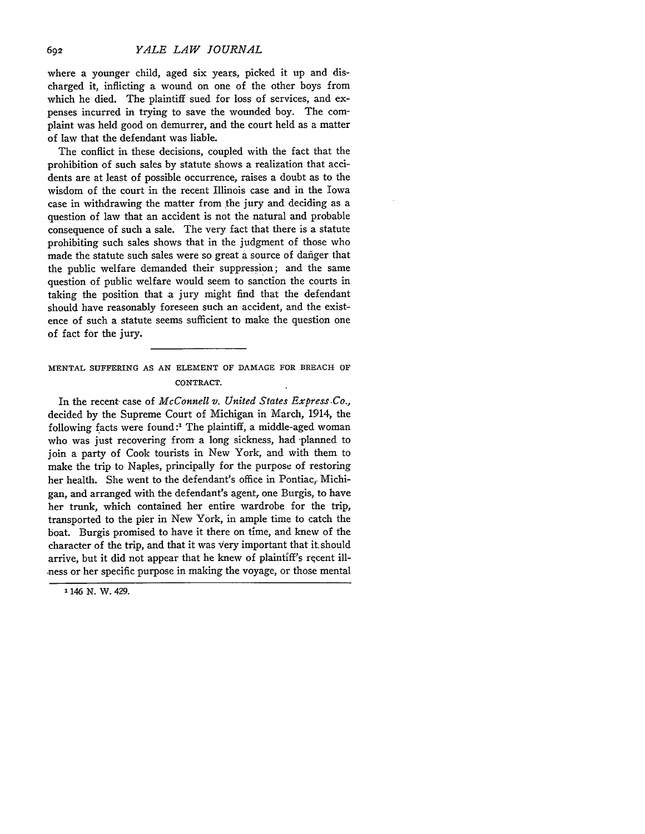where a younger child, aged six years, picked it up and discharged it, inflicting a wound on one of the other boys from which he died. The plaintiff sued for loss of services, and expenses incurred in trying to save the wounded boy. The complaint was held good on demurrer, and the court held as a matter of law that the defendant was liable.

The conflict in these decisions, coupled with the fact that the prohibition of such sales **by** statute shows a realization that accidents are at least of possible occurrence, raises a doubt as to the wisdom of the court in the recent Illinois case and in the Iowa case in withdrawing the matter from the jury and deciding as a question of law that an accident is not the natural and probable consequence of such a sale. The very fact that there is a statute prohibiting such sales shows that in the judgment of those who made the statute such sales were so great a source of danger that the public welfare demanded their suppression; and the same question of public welfare would seem to sanction the courts in taking the position that a jury might find that the defendant should have reasonably foreseen such an accident, and the existence of such a statute seems sufficient to make the question one of fact for the jury.

**MENTAL SUFFERING AS AN ELEMENT** OF **DAMAGE** FOR BREACH OF **CONTRACT.**

In the recent case of *McConnell v. United States Express-Co.,* decided **by** the Supreme Court of Michigan in March, 1914, the following facts were found **:1** The plaintiff, a middle-aged woman who was just recovering from a long sickness, had planned to join a party of Cook tourists in New York, and with them to make the trip to Naples, principally for the purpose of restoring her health. She went to the defendant's office in Pontiac, Michigan, and arranged with the defendant's agent, one Burgis, to have her trunk, which contained her entire wardrobe for the trip, transported to the pier in New York, in ample time to catch the boat. Burgis promised to have it there on time, and knew of the character of the trip, and that it was very important that it should arrive, but it did not appear that he knew of plaintiff's recent ill- .ness or her specific purpose in making the voyage, or those mental

**<sup>1</sup>** 146 **N.** W. 429.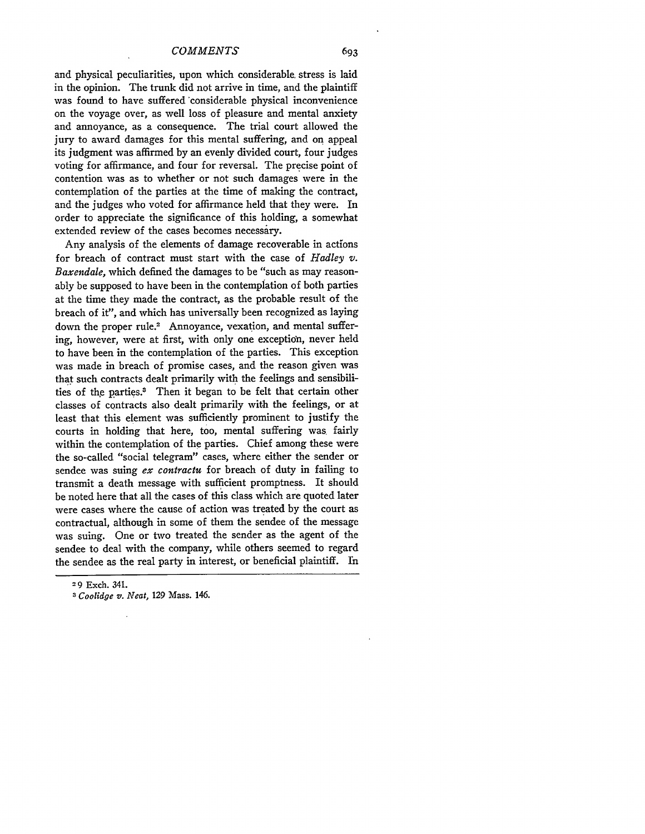and physical peculiarities, upon which considerable, stress is laid in the opinion. The trunk did not arrive in time, and the plaintiff was found to have suffered 'considerable physical inconvenience on the voyage over, as well loss of pleasure and mental anxiety and annoyance, as a consequence. The trial court allowed the jury to award damages for this mental suffering, and on appeal its judgment was affirmed by an evenly divided court, four judges voting for affirmance, and four for reversal. The precise point of contention was as to whether or not such damages were in the contemplation of the parties at the time of making the contract, and the judges who voted for affirmance held that they were. In order to appreciate the significance of this holding, a somewhat extended review of the cases becomes necessary.

Any analysis of the elements of damage recoverable in actions for breach of contract must start with the case of *Hadley v. Baxendale,* which defined the damages to be "such as may reasonably be supposed to have been in the contemplation of both parties at the time they made the contract, as the probable result of the breach of it", and which has universally been recognized as laying down the proper rule.<sup>2</sup> Annoyance, vexation, and mental suffering, however, were at first, with only one exception, never held to have been in the contemplation of the parties. This exception was made in breach of promise cases, and the reason given was that such contracts dealt primarily with the feelings and sensibilities of the parties.<sup>3</sup> Then it began to be felt that certain other classes of contracts also dealt primarily with the feelings, or at least that this element was sufficiently prominent to justify the courts in holding that here, too, mental suffering was, fairly within the contemplation of the parties. Chief among these were the so-called "social telegram" cases, where either the sender or sendee was suing *ex contractu* for breach of duty in failing to transmit a death message with sufficient promptness. It should be noted here that all the cases of this class which are quoted later were cases where the cause of action was treated by the court as contractual, although in some of them the sendee of the message was suing. One or two treated the sender as the agent of the sendee to deal with the company, while others seemed to regard the sendee as the real party in interest, or beneficial plaintiff. In

**<sup>29</sup>** Exch. 341.

*<sup>3</sup> Coolidge v. Neat,* **129** Mass. 146.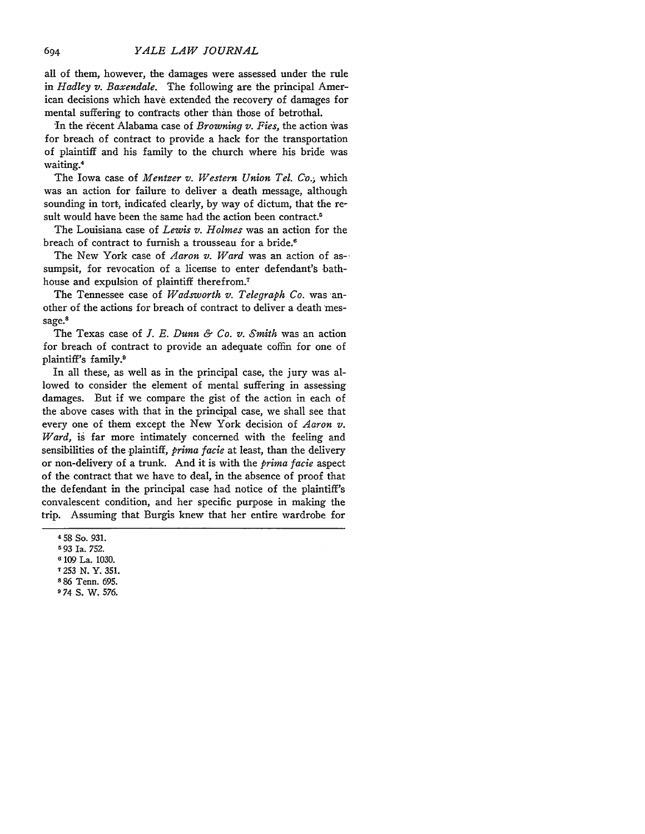*YALE LAW JOURNAL*

all of them, however, the damages were assessed under the rule in *Hadley v. Baxendale.* The following are the principal American decisions which have extended the recovery of damages for mental suffering to contracts other than those of betrothal.

In the fecent Alabama case of *Browning v. Fies,* the action was for breach of contract to provide a hack for the transportation of plaintiff and his family to the church where his bride was waiting.4

The Iowa case of *Mentzer v. Western Union Tel. Co.;* which was an action for failure to deliver a death message, although sounding in tort, indicafed clearly, by way of dictum, that the result would have been the same had the action been contract.<sup>5</sup>

The Louisiana case of *Lewis v. Holmes* was an action for the breach of contract to furnish a trousseau for a bride.<sup>6</sup>

The New York case of *Aaron v. Ward* was an action of as- sumpsit, for revocation of a license to enter defendant's bathhouse and expulsion of plaintiff therefrom.<sup>7</sup>

The Tennessee case of *Wadsworth v. Telegraph Co.* was another of the actions for breach of contract to deliver a death message. 8

The Texas case of *J. E. Dunn & Co. v. Smith* was an action for breach of contract to provide an adequate coffin for one of plaintiff's family.9

In all these, as well as in the principal case, the jury was allowed to consider the element of mental suffering in assessing damages. But if we compare the gist of the action in each of the above cases with that in the principal case, we shall see that every one of them except the New York decision of *Aaron v. Ward,* is far more intimately concerned with the feeling and sensibilities of the plaintiff, *prima facie* at least, than the delivery or non-delivery of a trunk. And it is with the *prima facie* aspect of the contract that we have to deal, in the absence of proof that the defendant in the principal case had notice of the plaintiff's convalescent condition, and her specific purpose in making the trip. Assuming that Burgis knew that her entire wardrobe for

**9** 74 *S.* W. 576.

**<sup>458</sup> So. 931.**

**<sup>5</sup>** 93 Ia. 752.

**<sup>6</sup>** 109 La. 1030.

<sup>7253</sup> N. Y. 351.

**<sup>8 86</sup>** Tenn. 695.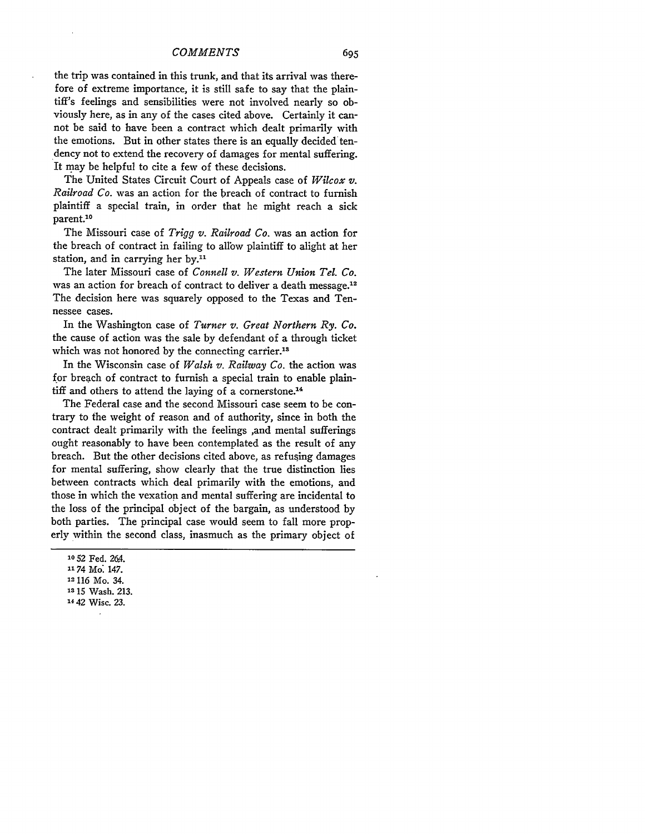## *COMMENTS*

the trip was contained in this trunk, and that its arrival was therefore of extreme importance, it is still safe to say that the plaintiff's feelings and sensibilities were not involved nearly so obviously here, as in any of the cases cited above. Certainly it cannot be said to have been a contract which dealt primarily with the emotions. But in other states there is an equally decided'tendency not to extend the recovery of damages for mental suffering. It may be helpful to cite a few of these decisions.

The United States Circuit Court of Appeals case of *Wilcox v. Railroad Co.* was an action for the breach of contract to furnish plaintiff a special train, in order that he might reach a sick parent.<sup>10</sup>

The Missouri case of *Trigg v. Railroad Co.* was an action for the breach of contract in failing to allow plaintiff to alight at her station, and in carrying her **by."**

The later Missouri case of *Connell v. Western Union Tel. Co.* was an action for breach of contract to deliver a death message.<sup>12</sup> The decision here was squarely opposed to the Texas and Tennessee cases.

In the Washington case of *Turner v. Great Northern Ry. Co.* the cause of action was the sale **by** defendant of a through ticket which was not honored by the connecting carrier.<sup>18</sup>

In the Wisconsin case of *Walsh v. Railway Co.* the action was for breach of contract to furnish a special train to enable plaintiff and others to attend the laying of a cornerstone.<sup>14</sup>

The Federal case and the second Missouri case seem to be contrary to the weight of reason and of authority, since in both the contract dealt primarily with the feelings ,and mental sufferings ought reasonably to have been contemplated as the result of any breach. But the other decisions cited above, as refusing damages for mental suffering, show clearly that the true distinction lies between contracts which deal primarily with the emotions, and those in which the vexation and mental suffering are incidental to the loss of the principal object of the bargain, as understood **by** both parties. The principal case would seem to fall more properly within the second class, inasmuch as the primary object of

1442 Wisc. 23.

**<sup>10 52</sup>** Fed. 264.

<sup>11 74</sup> Mo. 147.

**<sup>12</sup>**116 Mo. 34.

**<sup>1 15</sup>** Wash. 213.